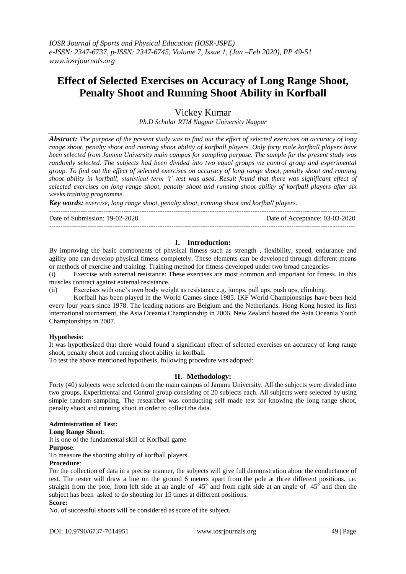# **Effect of Selected Exercises on Accuracy of Long Range Shoot, Penalty Shoot and Running Shoot Ability in Korfball**

Vickey Kumar

*Ph.D Scholar RTM Nagpur University Nagpur*

*Abstract: The purpose of the present study was to find out the effect of selected exercises on accuracy of long range shoot, penalty shoot and running shoot ability of korfball players. Only forty male korfball players have been selected from Jammu University main campus for sampling purpose. The sample for the present study was randomly selected. The subjects had been divided into two equal groups viz control group and experimental group. To find out the effect of selected exercises on accuracy of long range shoot, penalty shoot and running shoot ability in korfball, statistical term 't' test was used. Result found that there was significant effect of selected exercises on long range shoot, penalty shoot and running shoot ability of korfball players after six weeks training programme.* 

*Key words: exercise, long range shoot, penalty shoot, running shoot and korfball players.*

Date of Submission: 19-02-2020 Date of Acceptance: 03-03-2020

#### **I. Introduction:**

---------------------------------------------------------------------------------------------------------------------------------------

---------------------------------------------------------------------------------------------------------------------------------------

By improving the basic components of physical fitness such as strength , flexibility, speed, endurance and agility one can develop physical fitness completely. These elements can be developed through different means or methods of exercise and training. Training method for fitness developed under two broad categories-

(i) Exercise with external resistance: These exercises are most common and important for fitness. In this muscles contract against external resistance.

(ii) Exercises with one"s own body weight as resistance e.g. jumps, pull ups, push ups, climbing.

Korfball has been played in the [World Games](http://en.wikipedia.org/wiki/Korfball_at_the_World_Games) since 1985. IKF World Championships have been held every four years since 1978. The leading nations are Belgium and the Netherlands. Hong Kong hosted its first international tournament, the Asia Oceania Championship in 2006. New Zealand hosted the Asia Oceania Youth Championships in 2007.

#### **Hypothesis:**

It was hypothesized that there would found a significant effect of selected exercises on accuracy of long range shoot, penalty shoot and running shoot ability in korfball.

To test the above mentioned hypothesis, following procedure was adopted:

# **II. Methodology:**

Forty (40) subjects were selected from the main campus of Jammu University. All the subjects were divided into two groups, Experimental and Control group consisting of 20 subjects each. All subjects were selected by using simple random sampling. The researcher was conducting self made test for knowing the long range shoot, penalty shoot and running shoot in order to collect the data.

#### **Administration of Test:**

#### **Long Range Shoot**:

It is one of the fundamental skill of Korfball game.

### **Purpose**:

To measure the shooting ability of korfball players.

#### **Procedure**:

For the collection of data in a precise manner, the subjects will give full demonstration about the conductance of test. The tester will draw a line on the ground 6 meters apart from the pole at three different positions. i.e. straight from the pole, from left side at an angle of  $45^\circ$  and from right side at an angle of  $45^\circ$  and then the subject has been asked to do shooting for 15 times at different positions. **Score:**

No. of successful shoots will be considered as score of the subject.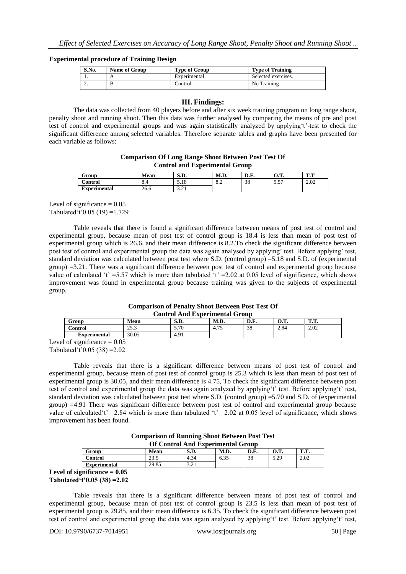#### **Experimental procedure of Training Design**

| S.No.<br><b>Name of Group</b> |  | <b>Type of Group</b> | <b>Type of Training</b> |  |  |
|-------------------------------|--|----------------------|-------------------------|--|--|
| . .                           |  | Experimental         | Selected exercises.     |  |  |
| ٠.                            |  | Control              | No Training             |  |  |

#### **III. Findings:**

The data was collected from 40 players before and after six week training program on long range shoot, penalty shoot and running shoot. Then this data was further analysed by comparing the means of pre and post test of control and experimental groups and was again statistically analyzed by applying"t"-test to check the significant difference among selected variables. Therefore separate tables and graphs have been presented for each variable as follows:

## **Comparison Of Long Range Shoot Between Post Test Of Control and Experimental Group**

| ∼<br>Group        | Mean | $\alpha$ m<br>5.V. | M.D.            | nг<br>D.F. | ∩ m<br>v.ı. | m m<br>          |
|-------------------|------|--------------------|-----------------|------------|-------------|------------------|
| $\sim$<br>Control | 0.4  | 1 O<br>J.IO        | $\Omega$<br>0.4 | 38         | $-$<br>ັ້   | $\alpha$<br>2.02 |
| Ð<br>Experimental | 26.6 | $\sim$<br>ہ ہے . ت |                 |            |             |                  |

Level of significance  $= 0.05$ Tabulated't'0.05 (19) = 1.729

Table reveals that there is found a significant difference between means of post test of control and experimental group, because mean of post test of control group is 18.4 is less than mean of post test of experimental group which is 26.6, and their mean difference is 8.2.To check the significant difference between post test of control and experimental group the data was again analysed by applying" test. Before applying" test, standard deviation was calculated between post test where S.D. (control group) =5.18 and S.D. of (experimental group) =3.21. There was a significant difference between post test of control and experimental group because value of calculated 't' =5.57 which is more than tabulated 't' =2.02 at 0.05 level of significance, which shows improvement was found in experimental group because training was given to the subjects of experimental group.

#### **Comparison of Penalty Shoot Between Post Test Of Control And Experimental Group**

| <u>condo o chua badoinn ann an can</u> |               |             |             |             |      |         |  |
|----------------------------------------|---------------|-------------|-------------|-------------|------|---------|--|
| Group                                  | <b>Mean</b>   | с'n<br>5.D. | M.D.        | D E<br>v.r. | v.s. | m m<br> |  |
| Control                                | າະ າ<br>ر. رے | 5.70        | .77<br>4.75 | 38          | 2.84 | 2.02    |  |
| Experimental                           | 30.05         | 4.91        |             |             |      |         |  |
| $\cdot$<br>$\bigcap_{n=1}^{\infty}$    |               |             |             |             |      |         |  |

Level of significance  $= 0.05$ Tabulated 't'  $0.05$  (38) =  $2.02$ 

Table reveals that there is a significant difference between means of post test of control and experimental group, because mean of post test of control group is 25.3 which is less than mean of post test of experimental group is 30.05, and their mean difference is 4.75, To check the significant difference between post test of control and experimental group the data was again analyzed by applying't' test. Before applying't' test, standard deviation was calculated between post test where S.D. (control group) =5.70 and S.D. of (experimental group) =4.91 There was significant difference between post test of control and experimental group because value of calculated 't' = 2.84 which is more than tabulated 't' = 2.02 at 0.05 level of significance, which shows improvement has been found.

> **Comparison of Running Shoot Between Post Test Of Control And Experimental Group**

|                                               | OI Control mu Labermental Group |                        |                              |      |      |              |         |  |
|-----------------------------------------------|---------------------------------|------------------------|------------------------------|------|------|--------------|---------|--|
|                                               | Group                           | Mean                   | $\alpha$ m<br>5.D.           | M.D. | D.F. | v.           | m m<br> |  |
|                                               | Control                         | $\sim$ $\sim$<br>ن د ب | 4.34                         | 6.35 | 38   | : ၁၀<br>رے ک | 2.02    |  |
|                                               | <b>Experimental</b>             | 29.85                  | $\gamma$ $\gamma$<br>ہ ہے، ب |      |      |              |         |  |
| $P = 1$ . The same set of $P$<br>$\mathbf{A}$ |                                 |                        |                              |      |      |              |         |  |

**Level of significance = 0.05 Tabulated't'0.05 (38) =2.02**

Table reveals that there is a significant difference between means of post test of control and experimental group, because mean of post test of control group is 23.5 is less than mean of post test of experimental group is 29.85, and their mean difference is 6.35. To check the significant difference between post test of control and experimental group the data was again analysed by applying"t" test. Before applying"t" test,